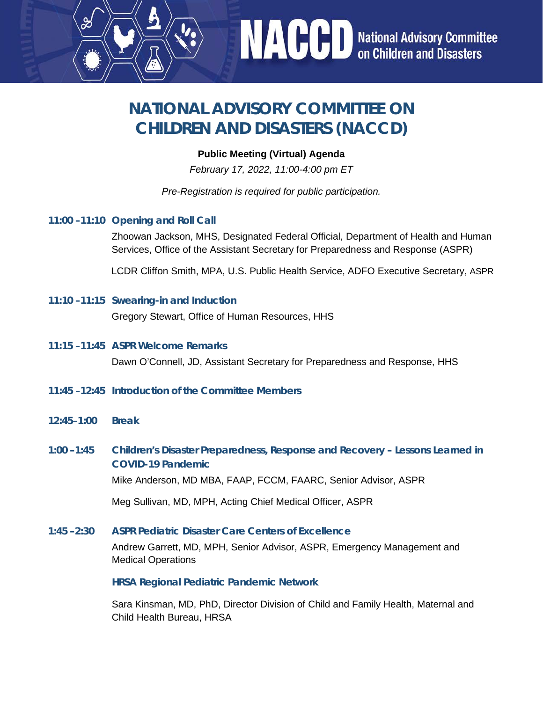## **NATIONAL ADVISORY COMMITTEE ON CHILDREN AND DISASTERS (NACCD)**

## **Public Meeting (Virtual) Agenda**

*February 17, 2022, 11:00-4:00 pm ET*

*Pre-Registration is required for public participation.*

**11:00 –11:10 Opening and Roll Call**

Zhoowan Jackson, MHS, Designated Federal Official, Department of Health and Human Services, Office of the Assistant Secretary for Preparedness and Response (ASPR)

**NACCD** National Advisory Committee

LCDR Cliffon Smith, MPA, U.S. Public Health Service, ADFO Executive Secretary, ASPR

- **11:10 –11:15 Swearing-in and Induction**  Gregory Stewart, Office of Human Resources, HHS
- **11:15 –11:45 ASPR Welcome Remarks**  Dawn O'Connell, JD, Assistant Secretary for Preparedness and Response, HHS
- **11:45 –12:45 Introduction of the Committee Members**
- **12:45–1:00 Break**
- **1:00 –1:45 Children's Disaster Preparedness, Response and Recovery Lessons Learned in COVID-19 Pandemic**  Mike Anderson, MD MBA, FAAP, FCCM, FAARC, Senior Advisor, ASPR

Meg Sullivan, MD, MPH, Acting Chief Medical Officer, ASPR

**1:45 –2:30 ASPR Pediatric Disaster Care Centers of Excellence**  Andrew Garrett, MD, MPH, Senior Advisor, ASPR, Emergency Management and Medical Operations

**HRSA Regional Pediatric Pandemic Network** 

Sara Kinsman, MD, PhD, Director Division of Child and Family Health, Maternal and Child Health Bureau, HRSA